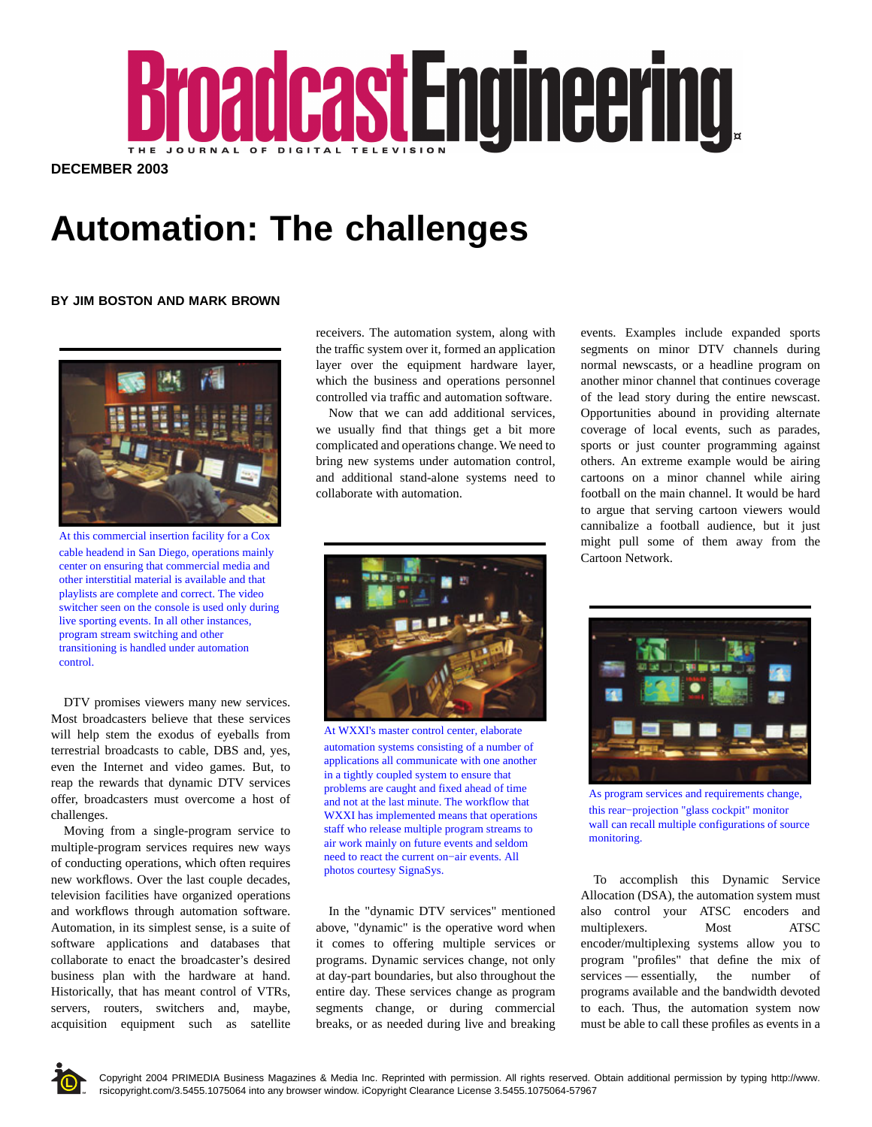

**DECEMBER 2003**

## **Automation: The challenges**

## **BY JIM BOSTON AND MARK BROWN**



At this commercial insertion facility for a Cox cable headend in San Diego, operations mainly center on ensuring that commercial media and other interstitial material is available and that playlists are complete and correct. The video switcher seen on the console is used only during live sporting events. In all other instances, program stream switching and other transitioning is handled under automation control.

DTV promises viewers many new services. Most broadcasters believe that these services will help stem the exodus of eyeballs from terrestrial broadcasts to cable, DBS and, yes, even the Internet and video games. But, to reap the rewards that dynamic DTV services offer, broadcasters must overcome a host of challenges.

Moving from a single-program service to multiple-program services requires new ways of conducting operations, which often requires new workflows. Over the last couple decades, television facilities have organized operations and workflows through automation software. Automation, in its simplest sense, is a suite of software applications and databases that collaborate to enact the broadcaster's desired business plan with the hardware at hand. Historically, that has meant control of VTRs, servers, routers, switchers and, maybe, acquisition equipment such as satellite

receivers. The automation system, along with the traffic system over it, formed an application layer over the equipment hardware layer, which the business and operations personnel controlled via traffic and automation software.

Now that we can add additional services, we usually find that things get a bit more complicated and operations change. We need to bring new systems under automation control, and additional stand-alone systems need to collaborate with automation.



At WXXI's master control center, elaborate automation systems consisting of a number of applications all communicate with one another in a tightly coupled system to ensure that problems are caught and fixed ahead of time and not at the last minute. The workflow that WXXI has implemented means that operations staff who release multiple program streams to air work mainly on future events and seldom need to react the current on−air events. All photos courtesy SignaSys.

In the "dynamic DTV services" mentioned above, "dynamic" is the operative word when it comes to offering multiple services or programs. Dynamic services change, not only at day-part boundaries, but also throughout the entire day. These services change as program segments change, or during commercial breaks, or as needed during live and breaking events. Examples include expanded sports segments on minor DTV channels during normal newscasts, or a headline program on another minor channel that continues coverage of the lead story during the entire newscast. Opportunities abound in providing alternate coverage of local events, such as parades, sports or just counter programming against others. An extreme example would be airing cartoons on a minor channel while airing football on the main channel. It would be hard to argue that serving cartoon viewers would cannibalize a football audience, but it just might pull some of them away from the Cartoon Network.



As program services and requirements change, this rear−projection "glass cockpit" monitor wall can recall multiple configurations of source monitoring.

To accomplish this Dynamic Service Allocation (DSA), the automation system must also control your ATSC encoders and multiplexers. Most ATSC encoder/multiplexing systems allow you to program "profiles" that define the mix of services — essentially, the number of programs available and the bandwidth devoted to each. Thus, the automation system now must be able to call these profiles as events in a